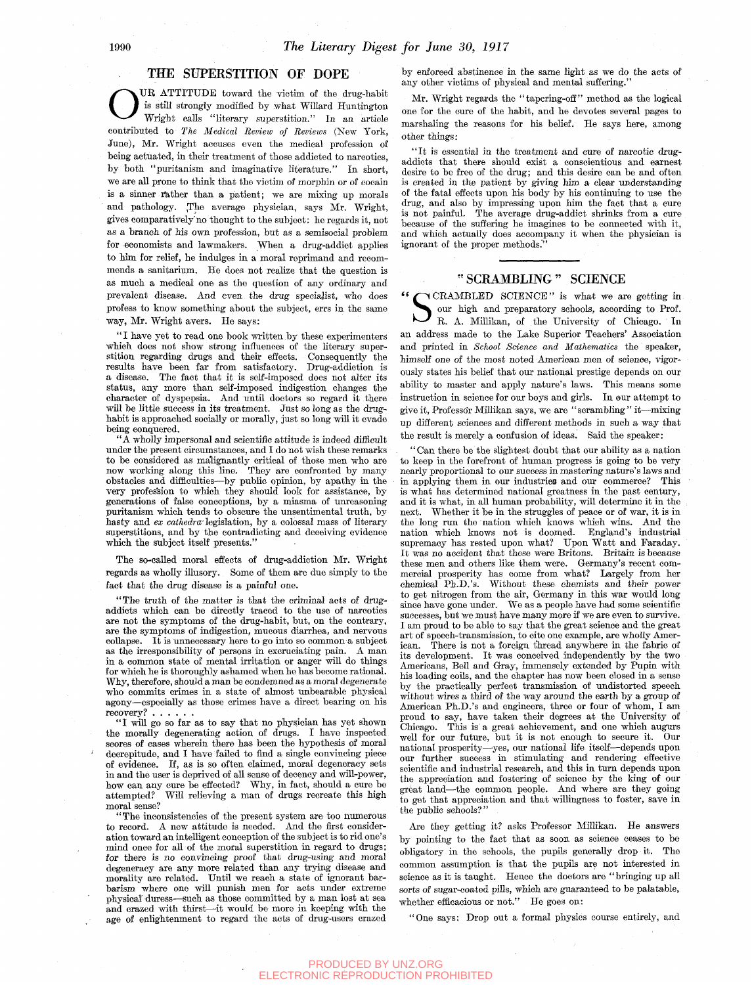## THE SUPERSTITION OF DOPE

O UR ATTITUDE toward the victim of the drug-habit is still strongly modified by what Willard Huntington Wright calls "literary superstition." In an article contributed to *The Medical Review of Reviews* (New York, June), Mr. Wright accuses even the medical profession of being actuated, in their treatment of those addicted to narcotics, by both "puritanism and imaginative literature." In short, we are all prone to think that the victim of morphin or of cocain is a sinner rather than a patient; we are mixing up morals and pathology. The average physician, says Mr. Wright, gives oomparatively'no thought to the subject: he regards it, not as a branch of his own profession, but as a semisocial problem for economists and lawmakers. When a drug-addict applies to him for relief, he indulges in a moral reprimand and recommends a sanitarium. He does not realize that the question is as much a medical one as the question of any ordinary and prevalent disease. And even the drug specialist, who does profess to know something about the subject, errs in the same way, Mr. Wright avers. He says:

"I have yet to read one book written by these experimenters which does not show strong influences of the literary superstition regarding drugs and their effects. Consequently the results have been far from satisfactory. Drug-addiction is a disease. The fact that it is self-imposed does not alter its status, any more than self-imposed indigestion changes the character of dyspepsia. And until doctors so regard it there will be little success in its treatment. Just so long as the drughabit is approached socially or morally, just so long will it evade being conquered.

"A wholly impersonal and scientific attitude is indeed difficult under the present circumstances, and I do not wish these remarks to be considered as malignantly critical of those men who are now working along this line. They are confronted by many obstacles and difficulties—^by public opinion, by apathy in the very profession to which they should look for assistance, by generations of false conceptions, by a miasma of unreasoning puritanism which tends to obscure the unsentimental truth, by hasty and ex cathedra legislation, by a colossal mass of literary superstitions, and by the contradicting and deceiving evidence which the subject itself presents."

The so-called moral effects of drug-addiction Mr. Wright regards as wholly iUusory. Some of them are due simply to the fact that the drug disease is a painful one.

"The truth of the matter is that the criminal acts of drugaddicts which can be directly traced to the use of narcotics are not the symptoms of the drug-habit, but, on the contrary, are the symptoms of indigestion, mucous diarrhea, and nervous coUapse. It is unnecessary here to go into so common a subject as the irresponsibility of persons in excruciating pain. A man in a common state of mental irritation or anger wiU do things for which he is thoroughly ashamed when he has become rational. Why, therefore, should a man be condemned as a moral degenerate who commits crimes in a state of almost unbearable physical agony—especially as those crimes have a direct bearing on his recovery? . . . . . .

" I wiU go so far as to say that no physician has yet shown the morally degenerating action of drugs. I have inspected scores of cases wherein there has been the hypothesis of moral decrepitude, and I have failed to find a single convincing piece of evidence. If, as is so often claimed, moral degeneracy sets in and the user is deprived of all sense of decency and will-power, how can any cure be effected? Why, in fact, should a cure be attempted? Will relieving a man of drugs recreate this high moral sense?

"The inconsistencies of the present system are too numerous to record. A new attitude is needed. And the first consider-A new attitude is needed. And the first consideration toward an intelligent conception of the subject is to rid one's mind once for all of the moral superstition in regard to drugs; for there is no convincing proof that drug-using and moral degeneracy are any more related than any trying disease and morality are related. Until we reach a state of ignorant barbarism where one wiU punish men for acts under extreme physical duress—such as those committed by a man lost at sea and crazed with thirst—it would be more in keeping with the age of enlightenment to regard the acts of drug-users crazed

by enforced abstinence in the same light as we do the acts of any other victims of physical and mental suffering.

Mr. Wright regards the "tapering-off" method as the logical one for the cure of the habit, and he devotes several pages to marshaling the reasons for his belief. He says here, among other things.

" It is essential in the treatment and cure of narcotic drugaddicts that there should exist a conscientious and earnest desire to be free of the drug; and this desire can be and often is created in the patient by giving him a clear understanding of the fatal effects upon his body by his continuing to use the drug, and also by impressing upon him the fact that a cure is not painful. The average drug-addict shrinks from a cure because of the suffering he imagines to be connected with it, and which actually does accompany it when the physician is ignorant of the proper methods."

## "SCRAMBLING" SCIENCE

SCIENCE" is what we are getting in<br>
our high and preparatory schools, according to Prof.<br>
R. A. Millikan, of the University of Chicago. In iCRAMBLED SCIENCE" is what we are getting in our high and preparatory schools, according to Prof. an address made to the Lake Superior Teachers' Association and printed in *School Science and Mathematics* the speaker, himself one of the most noted American men of science, vigorously states his belief that our national prestige depends on our ability to master and apply nature's laws. This means some instruction in science for our boys and girls. In our attempt to give it, Professdr MiUikan says, we are "scrambling" it—mixing up different sciences and different methods in such a way that the result is merely a confusion of ideas. Said the speaker:

"Can there be the slightest doubt that our ability as a nation to keep in the forefront of human progress is going to be very nearly proportional to our success in mastering nature's laws and in applying them in our industries and our commerce? This is what has determined national greatness in the past century, and it is what, in all human probability, will determine it in the next. Whether it be in the struggles of peace or of war, it is in the long run the nation which knows which wins. And the nation which knows not is doomed. England's industrial supremacy has rested upon what? Upon Watt and Faraday. It was no accident that these were Britons. Britain is because these men and others like them were. Germany's recent commercial prosperity has oome from what? Largely from her chemical Ph.D.'s. Without these chemists and their power to get nitrogen from the air, Germany in this war would long since have gone under. We as a people have had some scientific successes, but we must have many more if we are even to survive. I am proud to be able to say that the great science and the great art of speech-transmission, to cite one example, are wholly American. There is not a foreign thread anywhere in the fabric of its development. It was conceived independently by the two Americans, Bell and Gray, immensely extended by Pupin with his loading coils, and the chapter has now been closed in a sense by the practically perfect transmission of undistorted speech without wires a third of the way around the earth by a group of American Ph.D.'s and engineers, three or four of whom, I am proud to say, have taken their degrees at the University of Chicago. This is a great achievement, and one which augurs well for our future, but it is not enough to secure it. Our wen for our future, but it is not enough to secure it. Our our further success in stimulating and rendering effective our further success in stimulating and rendering enective scientine and industrial research, and this in turn depends upon the appreciation and fostering of science by the king of our great land-the common people. And where are they going to get that appreciation and that willingness to foster, save in the public schools?"

Are they getting it? asks Professor Millikan. He answers by pointing to the fact that as soon as science ceases to be obhgatory in the schools, the pupils generally drop it. The common assumption is that the pupils are not interested in science as it is taught. Hence the doctors are "bringing up all sorts of sugar-coated piUs, which are guaranteed to be palatable, whether efficacious or not." He goes on:

"One says: Drop out a formal physics course entirely, and